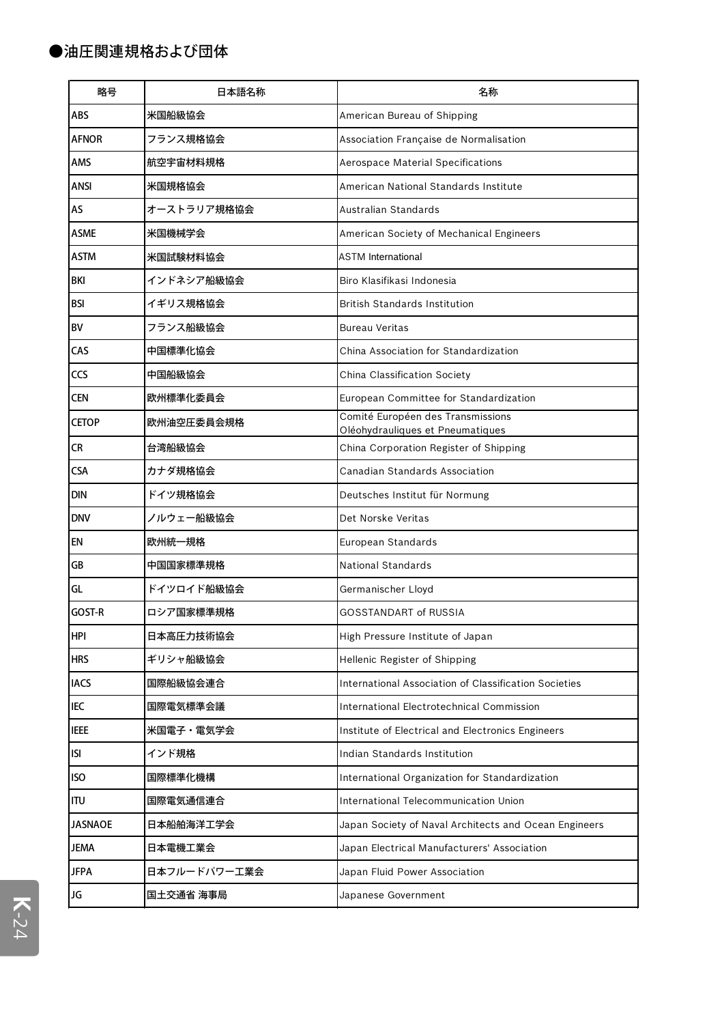| 略号             | 日本語名称        | 名称                                                                    |
|----------------|--------------|-----------------------------------------------------------------------|
| ABS            | 米国船級協会       | American Bureau of Shipping                                           |
| AFNOR          | フランス規格協会     | Association Française de Normalisation                                |
| AMS            | 航空宇宙材料規格     | Aerospace Material Specifications                                     |
| ANSI           | 米国規格協会       | American National Standards Institute                                 |
| AS             | オーストラリア規格協会  | Australian Standards                                                  |
| <b>ASME</b>    | 米国機械学会       | American Society of Mechanical Engineers                              |
| ASTM           | 米国試験材料協会     | <b>ASTM International</b>                                             |
| BKI            | インドネシア船級協会   | Biro Klasifikasi Indonesia                                            |
| BSI            | イギリス規格協会     | <b>British Standards Institution</b>                                  |
| BV             | フランス船級協会     | <b>Bureau Veritas</b>                                                 |
| CAS            | 中国標準化協会      | China Association for Standardization                                 |
| CCS            | 中国船級協会       | China Classification Society                                          |
| <b>CEN</b>     | 欧州標準化委員会     | European Committee for Standardization                                |
| <b>CETOP</b>   | 欧州油空圧委員会規格   | Comité Européen des Transmissions<br>Oléohydrauliques et Pneumatiques |
| <b>CR</b>      | 台湾船級協会       | China Corporation Register of Shipping                                |
| <b>CSA</b>     | カナダ規格協会      | Canadian Standards Association                                        |
| <b>DIN</b>     | ドイツ規格協会      | Deutsches Institut für Normung                                        |
| <b>DNV</b>     | ノルウェー船級協会    | Det Norske Veritas                                                    |
| EN             | 欧州統一規格       | European Standards                                                    |
| GB             | 中国国家標準規格     | National Standards                                                    |
| GL             | ドイツロイド船級協会   | Germanischer Lloyd                                                    |
| GOST-R         | ロシア国家標準規格    | GOSSTANDART of RUSSIA                                                 |
| <b>HPI</b>     | 日本高圧力技術協会    | High Pressure Institute of Japan                                      |
| <b>HRS</b>     | ギリシャ船級協会     | Hellenic Register of Shipping                                         |
| <b>IACS</b>    | 国際船級協会連合     | International Association of Classification Societies                 |
| IEC            | 国際電気標準会議     | International Electrotechnical Commission                             |
| <b>IEEE</b>    | 米国電子・電気学会    | Institute of Electrical and Electronics Engineers                     |
| ISI            | インド規格        | Indian Standards Institution                                          |
| <b>ISO</b>     | 国際標準化機構      | International Organization for Standardization                        |
| ITU            | 国際電気通信連合     | International Telecommunication Union                                 |
| <b>JASNAOE</b> | 日本船舶海洋工学会    | Japan Society of Naval Architects and Ocean Engineers                 |
| <b>JEMA</b>    | 日本電機工業会      | Japan Electrical Manufacturers' Association                           |
| <b>JFPA</b>    | 日本フルードパワー工業会 | Japan Fluid Power Association                                         |
| JG             | 国土交通省 海事局    | Japanese Government                                                   |